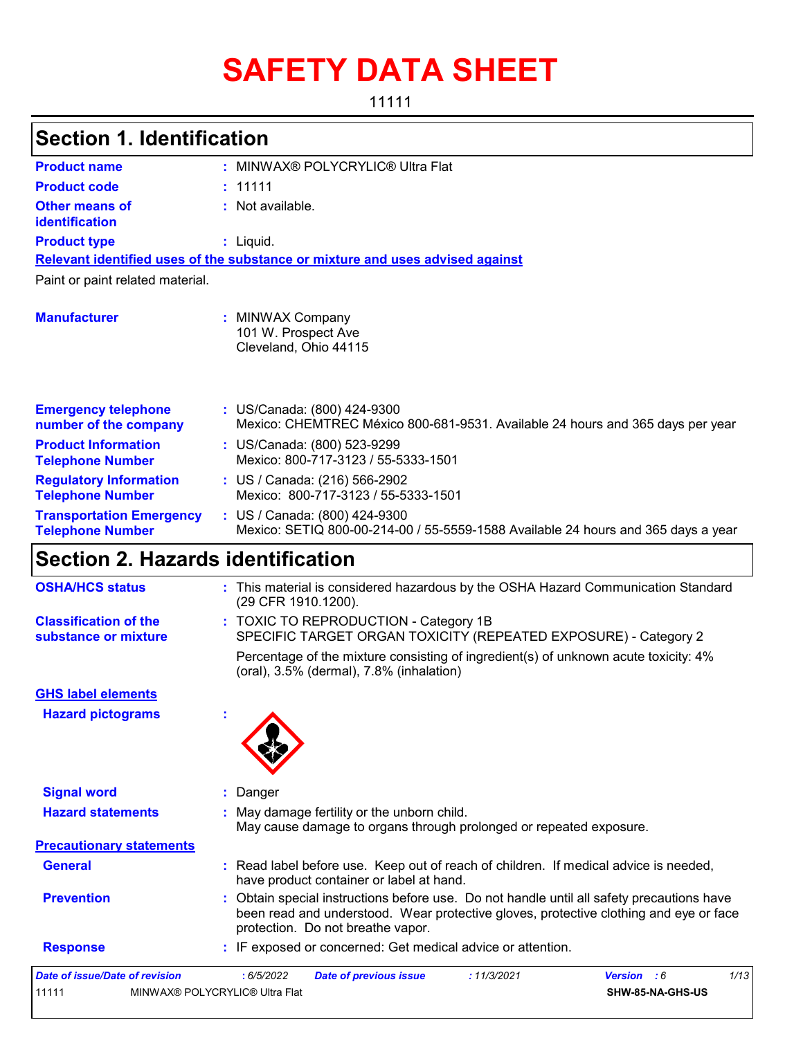# **SAFETY DATA SHEET**

11111

## **Section 1. Identification**

| <b>Product name</b>                                        | : MINWAX® POLYCRYLIC® Ultra Flat                                                                                   |
|------------------------------------------------------------|--------------------------------------------------------------------------------------------------------------------|
| <b>Product code</b>                                        | : 11111                                                                                                            |
| <b>Other means of</b><br>identification                    | $:$ Not available.                                                                                                 |
| <b>Product type</b>                                        | : Liquid.                                                                                                          |
|                                                            | Relevant identified uses of the substance or mixture and uses advised against                                      |
| Paint or paint related material.                           |                                                                                                                    |
| <b>Manufacturer</b>                                        | <b>MINWAX Company</b><br>101 W. Prospect Ave<br>Cleveland, Ohio 44115                                              |
| <b>Emergency telephone</b><br>number of the company        | : US/Canada: (800) 424-9300<br>Mexico: CHEMTREC México 800-681-9531. Available 24 hours and 365 days per year      |
| <b>Product Information</b><br><b>Telephone Number</b>      | : US/Canada: (800) 523-9299<br>Mexico: 800-717-3123 / 55-5333-1501                                                 |
| <b>Regulatory Information</b><br><b>Telephone Number</b>   | : US / Canada: (216) 566-2902<br>Mexico: 800-717-3123 / 55-5333-1501                                               |
| <b>Transportation Emergency</b><br><b>Telephone Number</b> | : US / Canada: (800) 424-9300<br>Mexico: SETIQ 800-00-214-00 / 55-5559-1588 Available 24 hours and 365 days a year |

# **Section 2. Hazards identification**

| <b>OSHA/HCS status</b>                               | : This material is considered hazardous by the OSHA Hazard Communication Standard<br>(29 CFR 1910.1200).                                                                                                                |
|------------------------------------------------------|-------------------------------------------------------------------------------------------------------------------------------------------------------------------------------------------------------------------------|
| <b>Classification of the</b><br>substance or mixture | : TOXIC TO REPRODUCTION - Category 1B<br>SPECIFIC TARGET ORGAN TOXICITY (REPEATED EXPOSURE) - Category 2                                                                                                                |
|                                                      | Percentage of the mixture consisting of ingredient(s) of unknown acute toxicity: 4%<br>(oral), 3.5% (dermal), 7.8% (inhalation)                                                                                         |
| <b>GHS label elements</b>                            |                                                                                                                                                                                                                         |
| <b>Hazard pictograms</b>                             |                                                                                                                                                                                                                         |
| <b>Signal word</b>                                   | : Danger                                                                                                                                                                                                                |
| <b>Hazard statements</b>                             | : May damage fertility or the unborn child.<br>May cause damage to organs through prolonged or repeated exposure.                                                                                                       |
| <b>Precautionary statements</b>                      |                                                                                                                                                                                                                         |
| <b>General</b>                                       | : Read label before use. Keep out of reach of children. If medical advice is needed,<br>have product container or label at hand.                                                                                        |
| <b>Prevention</b>                                    | : Obtain special instructions before use. Do not handle until all safety precautions have<br>been read and understood. Wear protective gloves, protective clothing and eye or face<br>protection. Do not breathe vapor. |
| <b>Response</b>                                      | : IF exposed or concerned: Get medical advice or attention.                                                                                                                                                             |
| <b>Date of issue/Date of revision</b>                | 1/13<br>: 6/5/2022<br>: 11/3/2021<br>Version : 6<br><b>Date of previous issue</b>                                                                                                                                       |
| 11111                                                | MINWAX® POLYCRYLIC® Ultra Flat<br>SHW-85-NA-GHS-US                                                                                                                                                                      |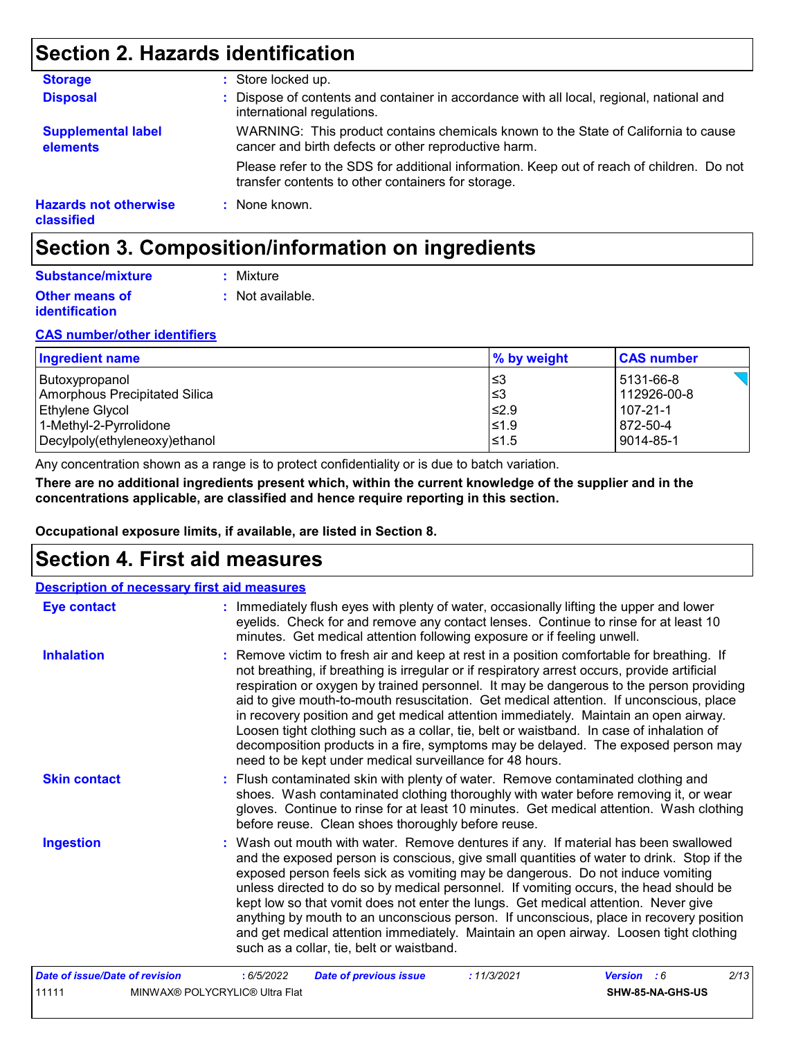### **Section 2. Hazards identification**

| <b>Storage</b>                             | : Store locked up.                                                                                                                              |
|--------------------------------------------|-------------------------------------------------------------------------------------------------------------------------------------------------|
| <b>Disposal</b>                            | : Dispose of contents and container in accordance with all local, regional, national and<br>international regulations.                          |
| <b>Supplemental label</b><br>elements      | WARNING: This product contains chemicals known to the State of California to cause<br>cancer and birth defects or other reproductive harm.      |
|                                            | Please refer to the SDS for additional information. Keep out of reach of children. Do not<br>transfer contents to other containers for storage. |
| <b>Hazards not otherwise</b><br>classified | : None known.                                                                                                                                   |

### **Section 3. Composition/information on ingredients**

| Substance/mixture     | : Mixture        |
|-----------------------|------------------|
| <b>Other means of</b> | : Not available. |
| <b>identification</b> |                  |

#### **CAS number/other identifiers**

| <b>Ingredient name</b>        | $\%$ by weight | <b>CAS number</b> |
|-------------------------------|----------------|-------------------|
| Butoxypropanol                | 3≥ا            | 5131-66-8         |
| Amorphous Precipitated Silica | ו≤3            | 112926-00-8       |
| <b>Ethylene Glycol</b>        | ≤2.9           | 107-21-1          |
| 1-Methyl-2-Pyrrolidone        | ≤1.9           | 872-50-4          |
| Decylpoly(ethyleneoxy)ethanol | $\leq 1.5$     | 9014-85-1         |

Any concentration shown as a range is to protect confidentiality or is due to batch variation.

**There are no additional ingredients present which, within the current knowledge of the supplier and in the concentrations applicable, are classified and hence require reporting in this section.**

**Occupational exposure limits, if available, are listed in Section 8.**

### **Section 4. First aid measures**

| <b>Description of necessary first aid measures</b> |                                                                                                                                                                                                                                                                                                                                                                                                                                                                                                                                                                                                                                                                                                                     |
|----------------------------------------------------|---------------------------------------------------------------------------------------------------------------------------------------------------------------------------------------------------------------------------------------------------------------------------------------------------------------------------------------------------------------------------------------------------------------------------------------------------------------------------------------------------------------------------------------------------------------------------------------------------------------------------------------------------------------------------------------------------------------------|
| <b>Eye contact</b>                                 | : Immediately flush eyes with plenty of water, occasionally lifting the upper and lower<br>eyelids. Check for and remove any contact lenses. Continue to rinse for at least 10<br>minutes. Get medical attention following exposure or if feeling unwell.                                                                                                                                                                                                                                                                                                                                                                                                                                                           |
| <b>Inhalation</b>                                  | : Remove victim to fresh air and keep at rest in a position comfortable for breathing. If<br>not breathing, if breathing is irregular or if respiratory arrest occurs, provide artificial<br>respiration or oxygen by trained personnel. It may be dangerous to the person providing<br>aid to give mouth-to-mouth resuscitation. Get medical attention. If unconscious, place<br>in recovery position and get medical attention immediately. Maintain an open airway.<br>Loosen tight clothing such as a collar, tie, belt or waistband. In case of inhalation of<br>decomposition products in a fire, symptoms may be delayed. The exposed person may<br>need to be kept under medical surveillance for 48 hours. |
| <b>Skin contact</b>                                | : Flush contaminated skin with plenty of water. Remove contaminated clothing and<br>shoes. Wash contaminated clothing thoroughly with water before removing it, or wear<br>gloves. Continue to rinse for at least 10 minutes. Get medical attention. Wash clothing<br>before reuse. Clean shoes thoroughly before reuse.                                                                                                                                                                                                                                                                                                                                                                                            |
| <b>Ingestion</b>                                   | : Wash out mouth with water. Remove dentures if any. If material has been swallowed<br>and the exposed person is conscious, give small quantities of water to drink. Stop if the<br>exposed person feels sick as vomiting may be dangerous. Do not induce vomiting<br>unless directed to do so by medical personnel. If vomiting occurs, the head should be<br>kept low so that vomit does not enter the lungs. Get medical attention. Never give<br>anything by mouth to an unconscious person. If unconscious, place in recovery position<br>and get medical attention immediately. Maintain an open airway. Loosen tight clothing<br>such as a collar, tie, belt or waistband.                                   |
| <b>Date of issue/Date of revision</b>              | 2/13<br>: 11/3/2021<br>Version : 6<br>:6/5/2022<br><b>Date of previous issue</b>                                                                                                                                                                                                                                                                                                                                                                                                                                                                                                                                                                                                                                    |
| 11111                                              | MINWAX® POLYCRYLIC® Ultra Flat<br>SHW-85-NA-GHS-US                                                                                                                                                                                                                                                                                                                                                                                                                                                                                                                                                                                                                                                                  |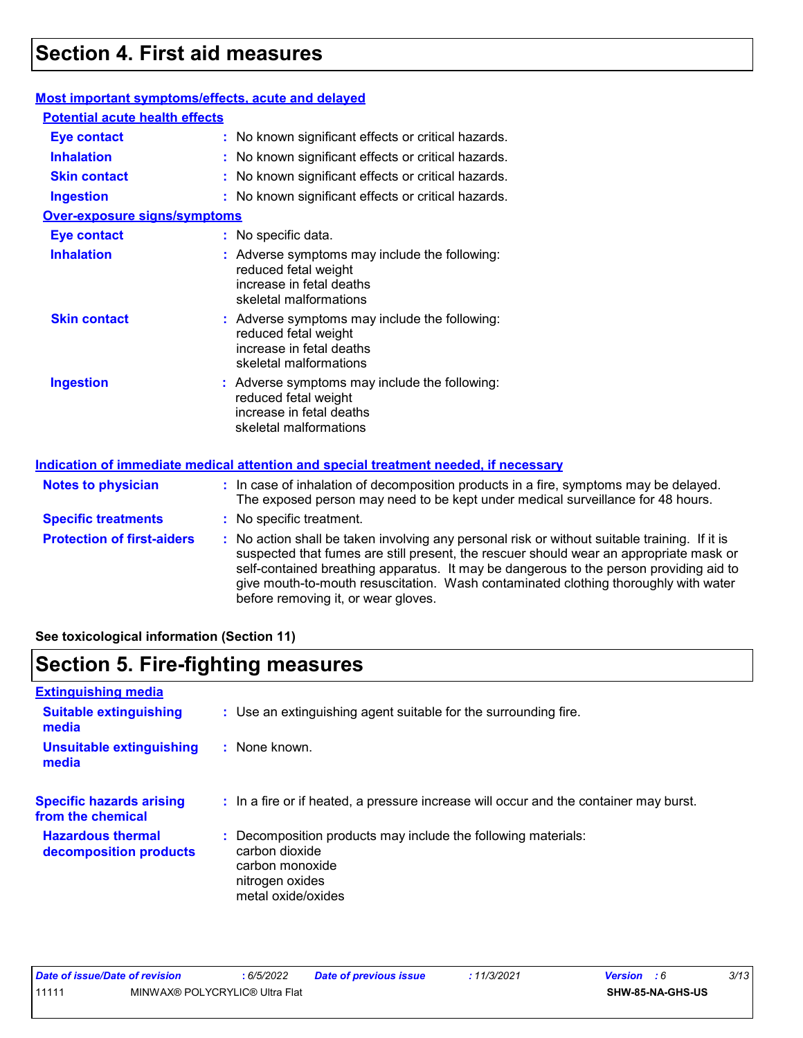### **Section 4. First aid measures**

#### **Most important symptoms/effects, acute and delayed**

| <b>Potential acute health effects</b> |                                                                                                                                                                         |
|---------------------------------------|-------------------------------------------------------------------------------------------------------------------------------------------------------------------------|
| <b>Eye contact</b>                    | : No known significant effects or critical hazards.                                                                                                                     |
| <b>Inhalation</b>                     | : No known significant effects or critical hazards.                                                                                                                     |
| <b>Skin contact</b>                   | : No known significant effects or critical hazards.                                                                                                                     |
| <b>Ingestion</b>                      | : No known significant effects or critical hazards.                                                                                                                     |
| <b>Over-exposure signs/symptoms</b>   |                                                                                                                                                                         |
| <b>Eye contact</b>                    | : No specific data.                                                                                                                                                     |
| <b>Inhalation</b>                     | : Adverse symptoms may include the following:<br>reduced fetal weight<br>increase in fetal deaths<br>skeletal malformations                                             |
| <b>Skin contact</b>                   | : Adverse symptoms may include the following:<br>reduced fetal weight<br>increase in fetal deaths<br>skeletal malformations                                             |
| <b>Ingestion</b>                      | : Adverse symptoms may include the following:<br>reduced fetal weight<br>increase in fetal deaths<br>skeletal malformations                                             |
|                                       | Indication of immediate medical attention and special treatment needed, if necessary                                                                                    |
| <b>Notes to physician</b>             | : In case of inhalation of decomposition products in a fire, symptoms may be delayed<br>The exposed person may need to be kept under medical surveillance for 48 hours. |
| <b>Specific treatments</b>            | : No specific treatment.                                                                                                                                                |
| <b>Protection of first-aiders</b>     | : No action shall be taken involving any personal risk or without suitable training. If it                                                                              |

able training. If it is suspected that fumes are still present, the rescuer should wear an appropriate mask or self-contained breathing apparatus. It may be dangerous to the person providing aid to give mouth-to-mouth resuscitation. Wash contaminated clothing thoroughly with water before removing it, or wear gloves.

may be delayed.

**See toxicological information (Section 11)**

### **Section 5. Fire-fighting measures**

| <b>Extinguishing media</b>                           |                                                                                                                                           |
|------------------------------------------------------|-------------------------------------------------------------------------------------------------------------------------------------------|
| <b>Suitable extinguishing</b><br>media               | : Use an extinguishing agent suitable for the surrounding fire.                                                                           |
| <b>Unsuitable extinguishing</b><br>media             | : None known.                                                                                                                             |
| <b>Specific hazards arising</b><br>from the chemical | : In a fire or if heated, a pressure increase will occur and the container may burst.                                                     |
| <b>Hazardous thermal</b><br>decomposition products   | Decomposition products may include the following materials:<br>carbon dioxide<br>carbon monoxide<br>nitrogen oxides<br>metal oxide/oxides |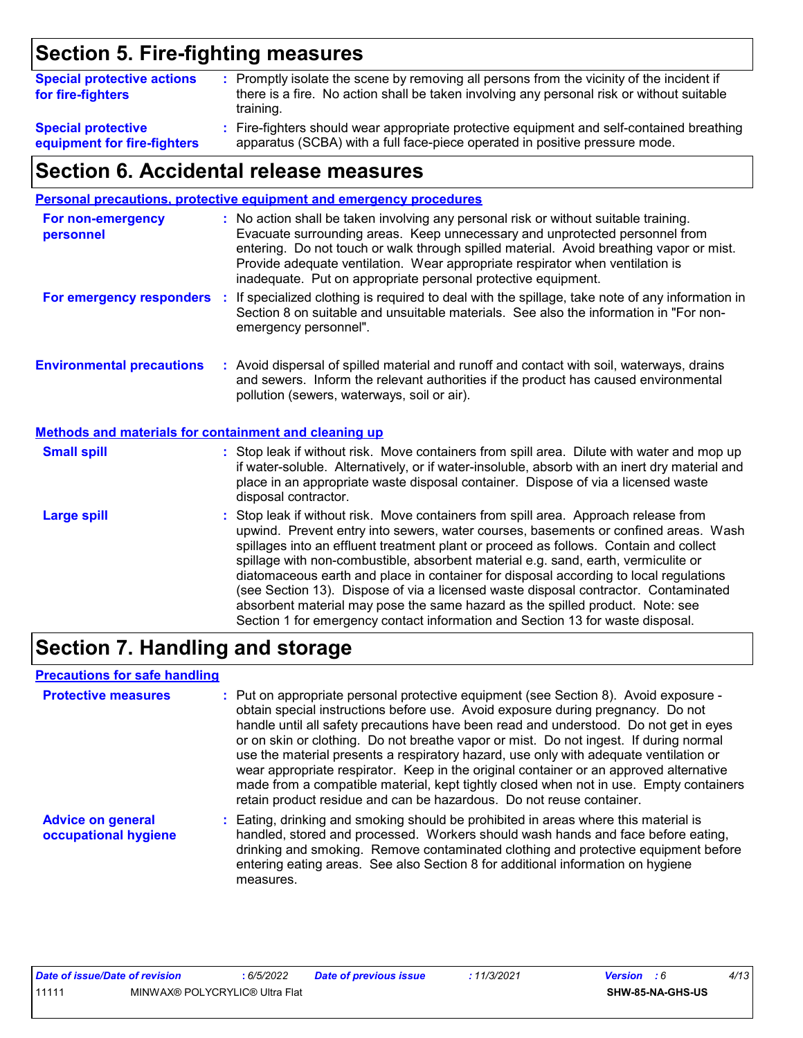# **Section 5. Fire-fighting measures**

| <b>Special protective actions</b><br>for fire-fighters   | : Promptly isolate the scene by removing all persons from the vicinity of the incident if<br>there is a fire. No action shall be taken involving any personal risk or without suitable<br>training. |
|----------------------------------------------------------|-----------------------------------------------------------------------------------------------------------------------------------------------------------------------------------------------------|
| <b>Special protective</b><br>equipment for fire-fighters | : Fire-fighters should wear appropriate protective equipment and self-contained breathing<br>apparatus (SCBA) with a full face-piece operated in positive pressure mode.                            |

### **Section 6. Accidental release measures**

| <b>Personal precautions, protective equipment and emergency procedures</b>                                                                                                                                                                                                                                                                                                                                                                                                                                                                                                                                                                                                                                   |  |  |
|--------------------------------------------------------------------------------------------------------------------------------------------------------------------------------------------------------------------------------------------------------------------------------------------------------------------------------------------------------------------------------------------------------------------------------------------------------------------------------------------------------------------------------------------------------------------------------------------------------------------------------------------------------------------------------------------------------------|--|--|
| : No action shall be taken involving any personal risk or without suitable training.<br>Evacuate surrounding areas. Keep unnecessary and unprotected personnel from<br>entering. Do not touch or walk through spilled material. Avoid breathing vapor or mist.<br>Provide adequate ventilation. Wear appropriate respirator when ventilation is<br>inadequate. Put on appropriate personal protective equipment.                                                                                                                                                                                                                                                                                             |  |  |
| For emergency responders : If specialized clothing is required to deal with the spillage, take note of any information in<br>Section 8 on suitable and unsuitable materials. See also the information in "For non-<br>emergency personnel".                                                                                                                                                                                                                                                                                                                                                                                                                                                                  |  |  |
| : Avoid dispersal of spilled material and runoff and contact with soil, waterways, drains<br>and sewers. Inform the relevant authorities if the product has caused environmental<br>pollution (sewers, waterways, soil or air).                                                                                                                                                                                                                                                                                                                                                                                                                                                                              |  |  |
| <b>Methods and materials for containment and cleaning up</b>                                                                                                                                                                                                                                                                                                                                                                                                                                                                                                                                                                                                                                                 |  |  |
| : Stop leak if without risk. Move containers from spill area. Dilute with water and mop up<br>if water-soluble. Alternatively, or if water-insoluble, absorb with an inert dry material and<br>place in an appropriate waste disposal container. Dispose of via a licensed waste<br>disposal contractor.                                                                                                                                                                                                                                                                                                                                                                                                     |  |  |
| : Stop leak if without risk. Move containers from spill area. Approach release from<br>upwind. Prevent entry into sewers, water courses, basements or confined areas. Wash<br>spillages into an effluent treatment plant or proceed as follows. Contain and collect<br>spillage with non-combustible, absorbent material e.g. sand, earth, vermiculite or<br>diatomaceous earth and place in container for disposal according to local regulations<br>(see Section 13). Dispose of via a licensed waste disposal contractor. Contaminated<br>absorbent material may pose the same hazard as the spilled product. Note: see<br>Section 1 for emergency contact information and Section 13 for waste disposal. |  |  |
|                                                                                                                                                                                                                                                                                                                                                                                                                                                                                                                                                                                                                                                                                                              |  |  |

### **Section 7. Handling and storage**

#### **Precautions for safe handling**

| <b>Protective measures</b>                       | : Put on appropriate personal protective equipment (see Section 8). Avoid exposure -<br>obtain special instructions before use. Avoid exposure during pregnancy. Do not<br>handle until all safety precautions have been read and understood. Do not get in eyes<br>or on skin or clothing. Do not breathe vapor or mist. Do not ingest. If during normal<br>use the material presents a respiratory hazard, use only with adequate ventilation or<br>wear appropriate respirator. Keep in the original container or an approved alternative<br>made from a compatible material, kept tightly closed when not in use. Empty containers<br>retain product residue and can be hazardous. Do not reuse container. |
|--------------------------------------------------|----------------------------------------------------------------------------------------------------------------------------------------------------------------------------------------------------------------------------------------------------------------------------------------------------------------------------------------------------------------------------------------------------------------------------------------------------------------------------------------------------------------------------------------------------------------------------------------------------------------------------------------------------------------------------------------------------------------|
| <b>Advice on general</b><br>occupational hygiene | : Eating, drinking and smoking should be prohibited in areas where this material is<br>handled, stored and processed. Workers should wash hands and face before eating,<br>drinking and smoking. Remove contaminated clothing and protective equipment before<br>entering eating areas. See also Section 8 for additional information on hygiene<br>measures.                                                                                                                                                                                                                                                                                                                                                  |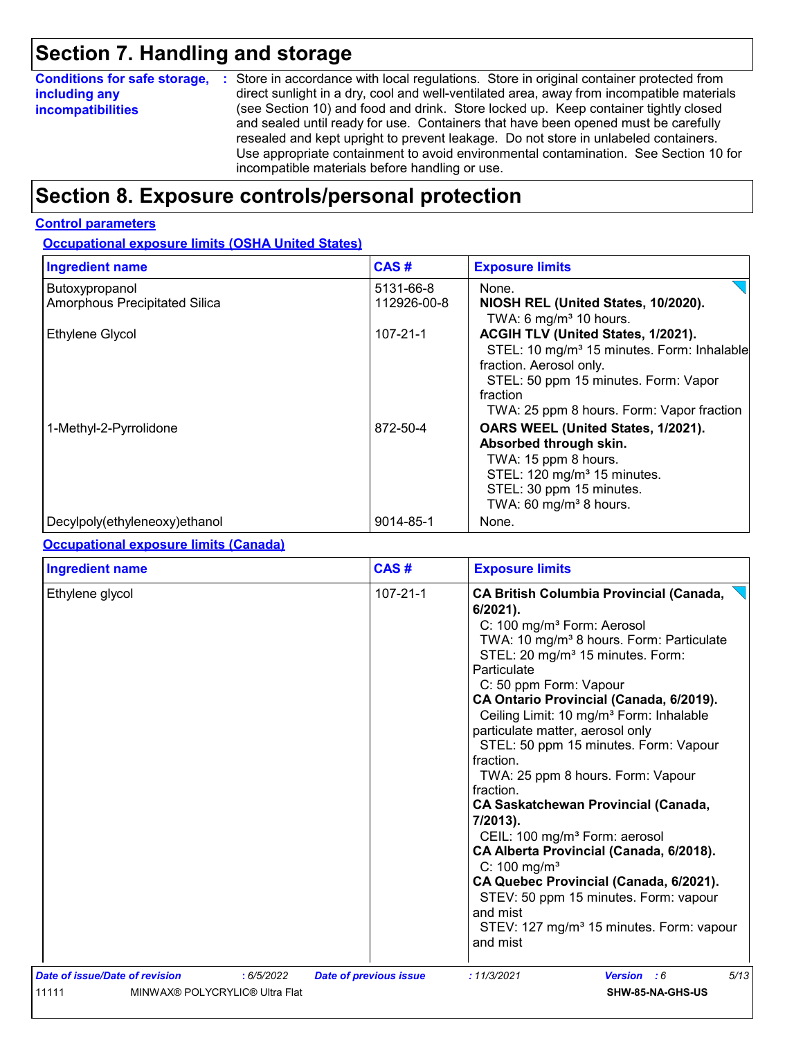### **Section 7. Handling and storage**

| <b>Conditions for safe storage,</b> | : Store in accordance with local regulations. Store in original container protected from                                                                                                                                                                                                                                                                                                                   |
|-------------------------------------|------------------------------------------------------------------------------------------------------------------------------------------------------------------------------------------------------------------------------------------------------------------------------------------------------------------------------------------------------------------------------------------------------------|
| including any                       | direct sunlight in a dry, cool and well-ventilated area, away from incompatible materials                                                                                                                                                                                                                                                                                                                  |
| <i>incompatibilities</i>            | (see Section 10) and food and drink. Store locked up. Keep container tightly closed<br>and sealed until ready for use. Containers that have been opened must be carefully<br>resealed and kept upright to prevent leakage. Do not store in unlabeled containers.<br>Use appropriate containment to avoid environmental contamination. See Section 10 for<br>incompatible materials before handling or use. |

### **Section 8. Exposure controls/personal protection**

#### **Control parameters**

**Occupational exposure limits (OSHA United States)**

| <b>Ingredient name</b>                          | CAS#                     | <b>Exposure limits</b>                                                                                                                                                                                                   |
|-------------------------------------------------|--------------------------|--------------------------------------------------------------------------------------------------------------------------------------------------------------------------------------------------------------------------|
| Butoxypropanol<br>Amorphous Precipitated Silica | 5131-66-8<br>112926-00-8 | None.<br>NIOSH REL (United States, 10/2020).<br>TWA: 6 mg/m <sup>3</sup> 10 hours.                                                                                                                                       |
| Ethylene Glycol                                 | $107 - 21 - 1$           | ACGIH TLV (United States, 1/2021).<br>STEL: 10 mg/m <sup>3</sup> 15 minutes. Form: Inhalable<br>fraction. Aerosol only.<br>STEL: 50 ppm 15 minutes. Form: Vapor<br>fraction<br>TWA: 25 ppm 8 hours. Form: Vapor fraction |
| 1-Methyl-2-Pyrrolidone                          | 872-50-4                 | OARS WEEL (United States, 1/2021).<br>Absorbed through skin.<br>TWA: 15 ppm 8 hours.<br>STEL: 120 mg/m <sup>3</sup> 15 minutes.<br>STEL: 30 ppm 15 minutes.<br>TWA: 60 mg/m <sup>3</sup> 8 hours.                        |
| Decylpoly(ethyleneoxy)ethanol                   | 9014-85-1                | None.                                                                                                                                                                                                                    |

#### **Occupational exposure limits (Canada)**

| <b>Ingredient name</b>         |                                | CAS#                          | <b>Exposure limits</b>                                                                                                                                                                                                                                                                                                                                                                                                                                                                                                                                                                                                                                                                                                                                                                                                                              |
|--------------------------------|--------------------------------|-------------------------------|-----------------------------------------------------------------------------------------------------------------------------------------------------------------------------------------------------------------------------------------------------------------------------------------------------------------------------------------------------------------------------------------------------------------------------------------------------------------------------------------------------------------------------------------------------------------------------------------------------------------------------------------------------------------------------------------------------------------------------------------------------------------------------------------------------------------------------------------------------|
| Ethylene glycol                |                                | $107 - 21 - 1$                | <b>CA British Columbia Provincial (Canada,</b><br>6/2021).<br>C: 100 mg/m <sup>3</sup> Form: Aerosol<br>TWA: 10 mg/m <sup>3</sup> 8 hours. Form: Particulate<br>STEL: 20 mg/m <sup>3</sup> 15 minutes. Form:<br>Particulate<br>C: 50 ppm Form: Vapour<br>CA Ontario Provincial (Canada, 6/2019).<br>Ceiling Limit: 10 mg/m <sup>3</sup> Form: Inhalable<br>particulate matter, aerosol only<br>STEL: 50 ppm 15 minutes. Form: Vapour<br>fraction.<br>TWA: 25 ppm 8 hours. Form: Vapour<br>fraction.<br><b>CA Saskatchewan Provincial (Canada,</b><br>7/2013).<br>CEIL: 100 mg/m <sup>3</sup> Form: aerosol<br>CA Alberta Provincial (Canada, 6/2018).<br>C: $100 \text{ mg/m}^3$<br>CA Quebec Provincial (Canada, 6/2021).<br>STEV: 50 ppm 15 minutes. Form: vapour<br>and mist<br>STEV: 127 mg/m <sup>3</sup> 15 minutes. Form: vapour<br>and mist |
| Date of issue/Date of revision | : 6/5/2022                     | <b>Date of previous issue</b> | 5/13<br>: 11/3/2021<br>Version : 6                                                                                                                                                                                                                                                                                                                                                                                                                                                                                                                                                                                                                                                                                                                                                                                                                  |
| 11111                          | MINWAX® POLYCRYLIC® Ultra Flat |                               | SHW-85-NA-GHS-US                                                                                                                                                                                                                                                                                                                                                                                                                                                                                                                                                                                                                                                                                                                                                                                                                                    |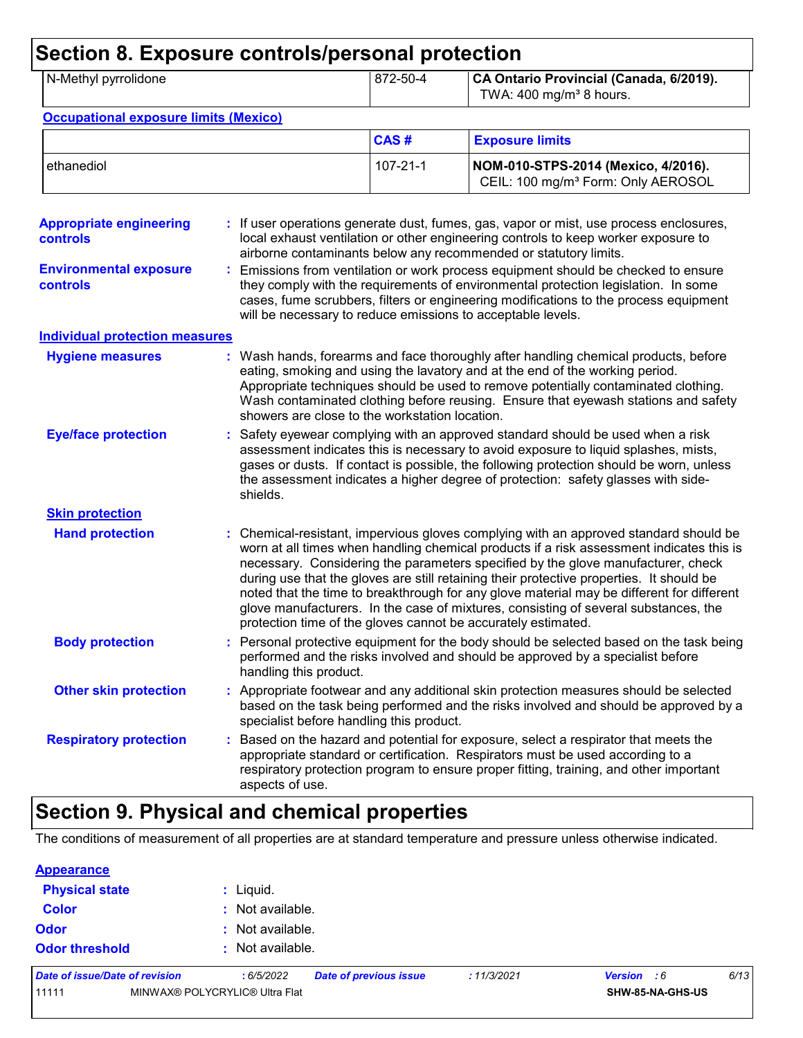| N-Methyl pyrrolidone                                                                           |                                                | 872-50-4       | CA Ontario Provincial (Canada, 6/2019).<br>TWA: $400$ mg/m <sup>3</sup> 8 hours.                                                                                                                                                                                                                                                                                                                                                                                                                                                                                                                                       |
|------------------------------------------------------------------------------------------------|------------------------------------------------|----------------|------------------------------------------------------------------------------------------------------------------------------------------------------------------------------------------------------------------------------------------------------------------------------------------------------------------------------------------------------------------------------------------------------------------------------------------------------------------------------------------------------------------------------------------------------------------------------------------------------------------------|
| <b>Occupational exposure limits (Mexico)</b>                                                   |                                                |                |                                                                                                                                                                                                                                                                                                                                                                                                                                                                                                                                                                                                                        |
|                                                                                                |                                                | CAS#           | <b>Exposure limits</b>                                                                                                                                                                                                                                                                                                                                                                                                                                                                                                                                                                                                 |
| ethanediol                                                                                     |                                                | $107 - 21 - 1$ | NOM-010-STPS-2014 (Mexico, 4/2016).<br>CEIL: 100 mg/m <sup>3</sup> Form: Only AEROSOL                                                                                                                                                                                                                                                                                                                                                                                                                                                                                                                                  |
| <b>Appropriate engineering</b><br><b>controls</b><br><b>Environmental exposure</b><br>controls |                                                |                | : If user operations generate dust, fumes, gas, vapor or mist, use process enclosures,<br>local exhaust ventilation or other engineering controls to keep worker exposure to<br>airborne contaminants below any recommended or statutory limits.<br>: Emissions from ventilation or work process equipment should be checked to ensure<br>they comply with the requirements of environmental protection legislation. In some<br>cases, fume scrubbers, filters or engineering modifications to the process equipment<br>will be necessary to reduce emissions to acceptable levels.                                    |
| <b>Individual protection measures</b>                                                          |                                                |                |                                                                                                                                                                                                                                                                                                                                                                                                                                                                                                                                                                                                                        |
| <b>Hygiene measures</b>                                                                        | showers are close to the workstation location. |                | : Wash hands, forearms and face thoroughly after handling chemical products, before<br>eating, smoking and using the lavatory and at the end of the working period.<br>Appropriate techniques should be used to remove potentially contaminated clothing.<br>Wash contaminated clothing before reusing. Ensure that eyewash stations and safety                                                                                                                                                                                                                                                                        |
| <b>Eye/face protection</b>                                                                     | shields.                                       |                | Safety eyewear complying with an approved standard should be used when a risk<br>assessment indicates this is necessary to avoid exposure to liquid splashes, mists,<br>gases or dusts. If contact is possible, the following protection should be worn, unless<br>the assessment indicates a higher degree of protection: safety glasses with side-                                                                                                                                                                                                                                                                   |
| <b>Skin protection</b>                                                                         |                                                |                |                                                                                                                                                                                                                                                                                                                                                                                                                                                                                                                                                                                                                        |
| <b>Hand protection</b>                                                                         |                                                |                | : Chemical-resistant, impervious gloves complying with an approved standard should be<br>worn at all times when handling chemical products if a risk assessment indicates this is<br>necessary. Considering the parameters specified by the glove manufacturer, check<br>during use that the gloves are still retaining their protective properties. It should be<br>noted that the time to breakthrough for any glove material may be different for different<br>glove manufacturers. In the case of mixtures, consisting of several substances, the<br>protection time of the gloves cannot be accurately estimated. |
| <b>Body protection</b>                                                                         | handling this product.                         |                | : Personal protective equipment for the body should be selected based on the task being<br>performed and the risks involved and should be approved by a specialist before                                                                                                                                                                                                                                                                                                                                                                                                                                              |
| <b>Other skin protection</b>                                                                   | specialist before handling this product.       |                | : Appropriate footwear and any additional skin protection measures should be selected<br>based on the task being performed and the risks involved and should be approved by a                                                                                                                                                                                                                                                                                                                                                                                                                                          |
| <b>Respiratory protection</b>                                                                  | aspects of use.                                |                | Based on the hazard and potential for exposure, select a respirator that meets the<br>appropriate standard or certification. Respirators must be used according to a<br>respiratory protection program to ensure proper fitting, training, and other important                                                                                                                                                                                                                                                                                                                                                         |

# **Section 9. Physical and chemical properties**

The conditions of measurement of all properties are at standard temperature and pressure unless otherwise indicated.

| 11111                          | MINWAX® POLYCRYLIC® Ultra Flat |                               |             |             | SHW-85-NA-GHS-US |      |
|--------------------------------|--------------------------------|-------------------------------|-------------|-------------|------------------|------|
| Date of issue/Date of revision | : 6/5/2022                     | <b>Date of previous issue</b> | : 11/3/2021 | Version : 6 |                  | 6/13 |
| <b>Odor threshold</b>          | $\cdot$ Not available.         |                               |             |             |                  |      |
| <b>Odor</b>                    | : Not available.               |                               |             |             |                  |      |
| <b>Color</b>                   | : Not available.               |                               |             |             |                  |      |
| <b>Physical state</b>          | : Liquid.                      |                               |             |             |                  |      |
| <b>Appearance</b>              |                                |                               |             |             |                  |      |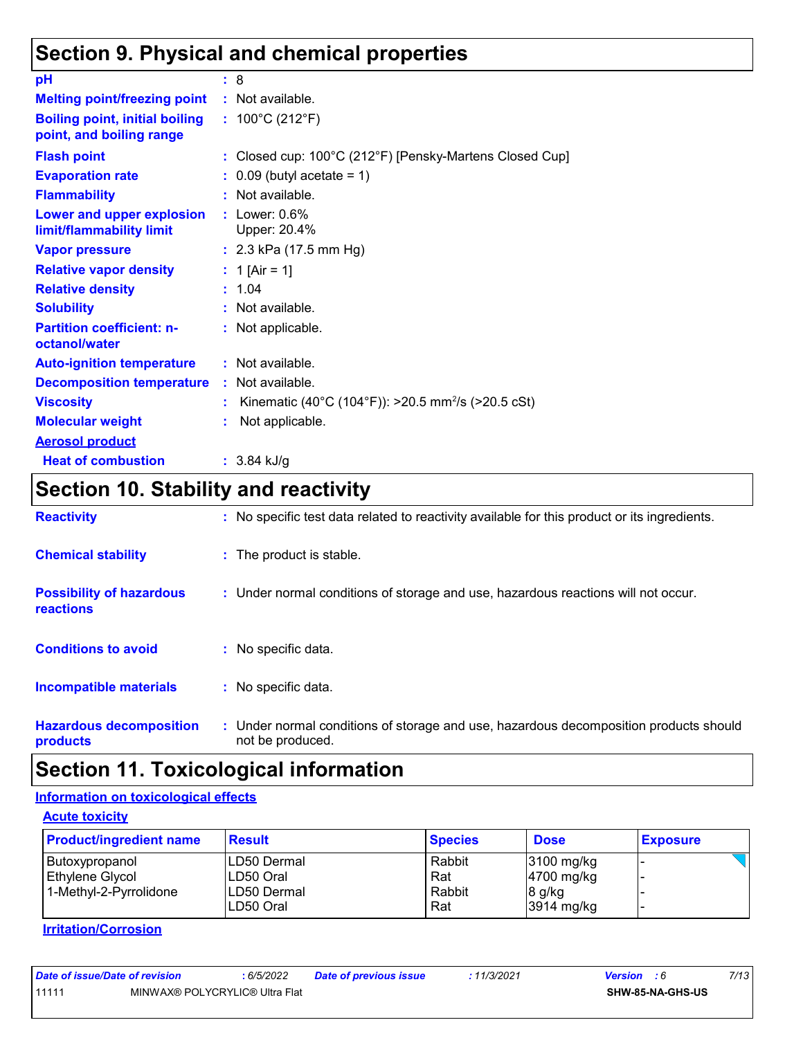### **Section 9. Physical and chemical properties**

| pH                                                                | : 8                                                            |
|-------------------------------------------------------------------|----------------------------------------------------------------|
| <b>Melting point/freezing point</b>                               | : Not available.                                               |
| <b>Boiling point, initial boiling</b><br>point, and boiling range | : $100^{\circ}$ C (212 $^{\circ}$ F)                           |
| <b>Flash point</b>                                                | : Closed cup: 100°C (212°F) [Pensky-Martens Closed Cup]        |
| <b>Evaporation rate</b>                                           | $\therefore$ 0.09 (butyl acetate = 1)                          |
| <b>Flammability</b>                                               | : Not available.                                               |
| Lower and upper explosion<br>limit/flammability limit             | $:$ Lower: $0.6\%$<br>Upper: 20.4%                             |
| <b>Vapor pressure</b>                                             | : $2.3$ kPa (17.5 mm Hg)                                       |
| <b>Relative vapor density</b>                                     | : 1 [Air = 1]                                                  |
| <b>Relative density</b>                                           | : 1.04                                                         |
| <b>Solubility</b>                                                 | : Not available.                                               |
| <b>Partition coefficient: n-</b><br>octanol/water                 | : Not applicable.                                              |
| <b>Auto-ignition temperature</b>                                  | : Not available.                                               |
| <b>Decomposition temperature</b>                                  | : Not available.                                               |
| <b>Viscosity</b>                                                  | Kinematic (40°C (104°F)): >20.5 mm <sup>2</sup> /s (>20.5 cSt) |
| <b>Molecular weight</b>                                           | Not applicable.                                                |
| <b>Aerosol product</b>                                            |                                                                |
| <b>Heat of combustion</b>                                         | $: 3.84$ kJ/g                                                  |

# **Section 10. Stability and reactivity**

| <b>Reactivity</b>                            | : No specific test data related to reactivity available for this product or its ingredients.              |
|----------------------------------------------|-----------------------------------------------------------------------------------------------------------|
| <b>Chemical stability</b>                    | : The product is stable.                                                                                  |
| <b>Possibility of hazardous</b><br>reactions | : Under normal conditions of storage and use, hazardous reactions will not occur.                         |
| <b>Conditions to avoid</b>                   | : No specific data.                                                                                       |
| <b>Incompatible materials</b>                | : No specific data.                                                                                       |
| <b>Hazardous decomposition</b><br>products   | : Under normal conditions of storage and use, hazardous decomposition products should<br>not be produced. |

# **Section 11. Toxicological information**

#### **Information on toxicological effects**

**Acute toxicity**

| <b>Product/ingredient name</b> | <b>Result</b> | <b>Species</b> | <b>Dose</b>  | <b>Exposure</b> |
|--------------------------------|---------------|----------------|--------------|-----------------|
| Butoxypropanol                 | ILD50 Dermal  | Rabbit         | $3100$ mg/kg |                 |
| Ethylene Glycol                | LD50 Oral     | Rat            | 4700 mg/kg   |                 |
| 1-Methyl-2-Pyrrolidone         | LD50 Dermal   | Rabbit         | $8$ g/kg     |                 |
|                                | ILD50 Oral    | Rat            | 3914 mg/kg   |                 |

**Irritation/Corrosion**

| Date of issue/Date of revision |                                | : 6/5/2022 | <b>Date of previous issue</b> | : 11/3/2021 | <b>Version</b> : 6      | 7/13 |
|--------------------------------|--------------------------------|------------|-------------------------------|-------------|-------------------------|------|
| 11111                          | MINWAX® POLYCRYLIC® Ultra Flat |            |                               |             | <b>SHW-85-NA-GHS-US</b> |      |
|                                |                                |            |                               |             |                         |      |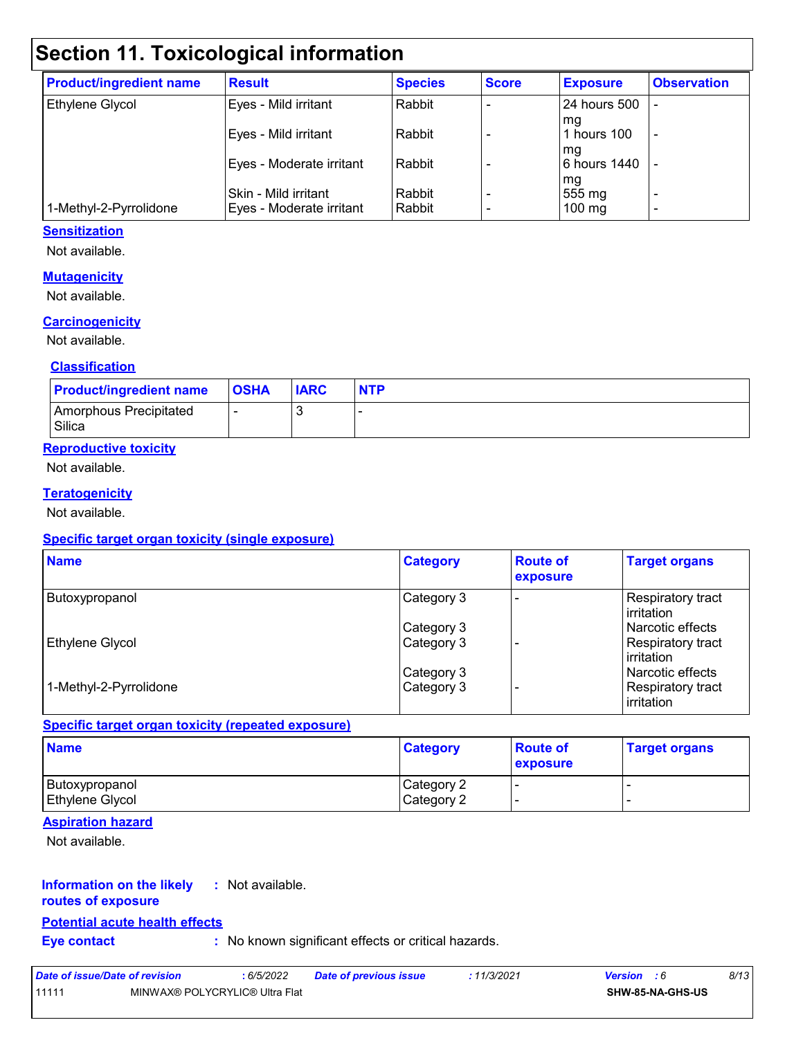# **Section 11. Toxicological information**

| <b>Product/ingredient name</b> | <b>Result</b>            | <b>Species</b> | <b>Score</b> | <b>Exposure</b>      | <b>Observation</b>       |
|--------------------------------|--------------------------|----------------|--------------|----------------------|--------------------------|
| Ethylene Glycol                | Eyes - Mild irritant     | Rabbit         |              | 24 hours 500         |                          |
|                                | Eyes - Mild irritant     | Rabbit         |              | l mg<br>1 hours 100  | -                        |
|                                | Eyes - Moderate irritant | Rabbit         |              | l mg<br>6 hours 1440 |                          |
|                                | Skin - Mild irritant     | Rabbit         |              | mg<br>555 mg         | ٠                        |
| 1-Methyl-2-Pyrrolidone         | Eyes - Moderate irritant | Rabbit         |              | $100$ mg             | $\overline{\phantom{0}}$ |

#### **Sensitization**

Not available.

#### **Mutagenicity**

Not available.

#### **Carcinogenicity**

Not available.

#### **Classification**

| <b>Product/ingredient name</b>   | <b>OSHA</b> | <b>IARC</b> | <b>NTP</b> |
|----------------------------------|-------------|-------------|------------|
| Amorphous Precipitated<br>Silica |             |             |            |

#### **Reproductive toxicity**

Not available.

#### **Teratogenicity**

Not available.

#### **Specific target organ toxicity (single exposure)**

| <b>Name</b>            | <b>Category</b> | <b>Route of</b><br>exposure | <b>Target organs</b>              |
|------------------------|-----------------|-----------------------------|-----------------------------------|
| Butoxypropanol         | Category 3      |                             | Respiratory tract<br>l irritation |
|                        | Category 3      |                             | l Narcotic effects                |
| Ethylene Glycol        | Category 3      |                             | Respiratory tract<br>l irritation |
|                        | Category 3      |                             | l Narcotic effects                |
| 1-Methyl-2-Pyrrolidone | Category 3      |                             | Respiratory tract<br>irritation   |

#### **Specific target organ toxicity (repeated exposure)**

| <b>Name</b>                       | <b>Category</b>          | <b>Route of</b><br><b>exposure</b> | <b>Target organs</b> |
|-----------------------------------|--------------------------|------------------------------------|----------------------|
| Butoxypropanol<br>Ethylene Glycol | Category 2<br>Category 2 |                                    |                      |

#### **Aspiration hazard**

Not available.

#### **Information on the likely :** Not available.

#### **routes of exposure**

#### **Potential acute health effects**

**Eye contact :** No known significant effects or critical hazards.

| Date of issue/Date of revision |                                | 6/5/2022 | <b>Date of previous issue</b> | : 11/3/2021 | <b>Version</b> : 6 |                  | 8/13 |
|--------------------------------|--------------------------------|----------|-------------------------------|-------------|--------------------|------------------|------|
| 11111                          | MINWAX® POLYCRYLIC® Ultra Flat |          |                               |             |                    | SHW-85-NA-GHS-US |      |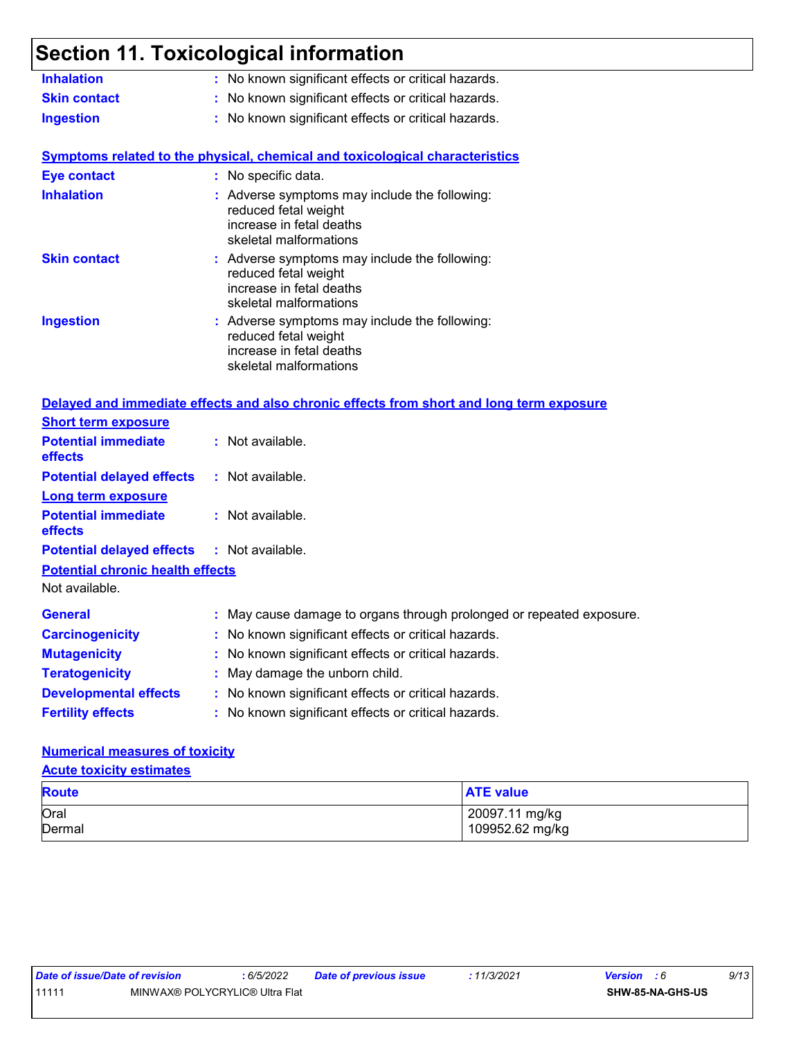# **Section 11. Toxicological information**

| <b>Inhalation</b>                                                  | : No known significant effects or critical hazards.                                                                         |
|--------------------------------------------------------------------|-----------------------------------------------------------------------------------------------------------------------------|
| <b>Skin contact</b>                                                | : No known significant effects or critical hazards.                                                                         |
| <b>Ingestion</b>                                                   | : No known significant effects or critical hazards.                                                                         |
|                                                                    | <b>Symptoms related to the physical, chemical and toxicological characteristics</b>                                         |
| <b>Eye contact</b>                                                 | : No specific data.                                                                                                         |
| <b>Inhalation</b>                                                  | : Adverse symptoms may include the following:<br>reduced fetal weight<br>increase in fetal deaths<br>skeletal malformations |
| <b>Skin contact</b>                                                | : Adverse symptoms may include the following:<br>reduced fetal weight<br>increase in fetal deaths<br>skeletal malformations |
| <b>Ingestion</b>                                                   | : Adverse symptoms may include the following:<br>reduced fetal weight<br>increase in fetal deaths<br>skeletal malformations |
|                                                                    | Delayed and immediate effects and also chronic effects from short and long term exposure                                    |
| <b>Short term exposure</b>                                         |                                                                                                                             |
| <b>Potential immediate</b><br>effects                              | : Not available.                                                                                                            |
| <b>Potential delayed effects</b>                                   | : Not available.                                                                                                            |
| <b>Long term exposure</b><br><b>Potential immediate</b><br>effects | $:$ Not available.                                                                                                          |
| <b>Potential delayed effects</b>                                   | $:$ Not available.                                                                                                          |
| <b>Potential chronic health effects</b><br>Not available.          |                                                                                                                             |
| <b>General</b>                                                     | : May cause damage to organs through prolonged or repeated exposure.                                                        |
| <b>Carcinogenicity</b>                                             | : No known significant effects or critical hazards.                                                                         |
| <b>Mutagenicity</b>                                                | : No known significant effects or critical hazards.                                                                         |
| <b>Teratogenicity</b>                                              | : May damage the unborn child.                                                                                              |
| <b>Developmental effects</b>                                       | : No known significant effects or critical hazards.                                                                         |
| <b>Fertility effects</b>                                           | : No known significant effects or critical hazards.                                                                         |

#### **Numerical measures of toxicity**

#### **Acute toxicity estimates**

| <b>Route</b> | <b>ATE value</b> |
|--------------|------------------|
| Oral         | 20097.11 mg/kg   |
| Dermal       | 109952.62 mg/kg  |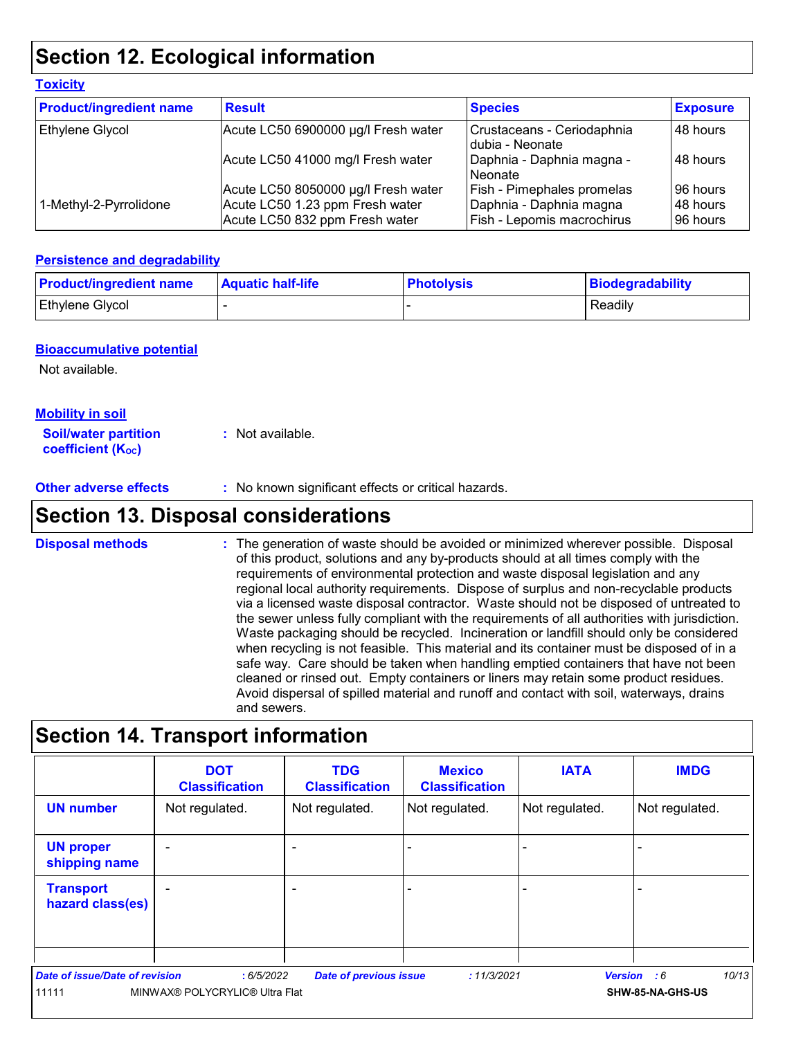### **Section 12. Ecological information**

| <b>Product/ingredient name</b> | <b>Result</b>                                                     | <b>Species</b>                                        | <b>Exposure</b>      |
|--------------------------------|-------------------------------------------------------------------|-------------------------------------------------------|----------------------|
| Ethylene Glycol                | Acute LC50 6900000 µg/l Fresh water                               | Crustaceans - Ceriodaphnia<br>Idubia - Neonate        | 48 hours             |
|                                | Acute LC50 41000 mg/l Fresh water                                 | Daphnia - Daphnia magna -<br>Neonate                  | l 48 hours           |
|                                | Acute LC50 8050000 µg/l Fresh water                               | Fish - Pimephales promelas                            | 96 hours             |
| 1-Methyl-2-Pyrrolidone         | Acute LC50 1.23 ppm Fresh water<br>Acute LC50 832 ppm Fresh water | Daphnia - Daphnia magna<br>Fish - Lepomis macrochirus | 48 hours<br>96 hours |

#### **Persistence and degradability**

| <b>Product/ingredient name</b> | <b>Aquatic half-life</b> | <b>Photolysis</b> | Biodegradability |
|--------------------------------|--------------------------|-------------------|------------------|
| <b>Ethylene Glycol</b>         |                          |                   | Readily          |

#### **Bioaccumulative potential**

Not available.

**Toxicity**

#### **Mobility in soil**

**Soil/water partition coefficient (K**<sub>oc</sub>) **:** Not available.

**Other adverse effects :** No known significant effects or critical hazards.

### **Section 13. Disposal considerations**

The generation of waste should be avoided or minimized wherever possible. Disposal of this product, solutions and any by-products should at all times comply with the requirements of environmental protection and waste disposal legislation and any regional local authority requirements. Dispose of surplus and non-recyclable products via a licensed waste disposal contractor. Waste should not be disposed of untreated to the sewer unless fully compliant with the requirements of all authorities with jurisdiction. Waste packaging should be recycled. Incineration or landfill should only be considered when recycling is not feasible. This material and its container must be disposed of in a safe way. Care should be taken when handling emptied containers that have not been cleaned or rinsed out. Empty containers or liners may retain some product residues. Avoid dispersal of spilled material and runoff and contact with soil, waterways, drains and sewers. **Disposal methods :**

### **Section 14. Transport information**

|                                         | <b>DOT</b><br><b>Classification</b>         | <b>TDG</b><br><b>Classification</b> | <b>Mexico</b><br><b>Classification</b> | <b>IATA</b>    | <b>IMDG</b>                                     |
|-----------------------------------------|---------------------------------------------|-------------------------------------|----------------------------------------|----------------|-------------------------------------------------|
| <b>UN number</b>                        | Not regulated.                              | Not regulated.                      | Not regulated.                         | Not regulated. | Not regulated.                                  |
| <b>UN proper</b><br>shipping name       | $\sim$                                      |                                     |                                        | -              |                                                 |
| <b>Transport</b><br>hazard class(es)    |                                             | -                                   |                                        | -              |                                                 |
| Date of issue/Date of revision<br>11111 | :6/5/2022<br>MINWAX® POLYCRYLIC® Ultra Flat | <b>Date of previous issue</b>       | : 11/3/2021                            |                | 10/13<br><b>Version</b> : 6<br>SHW-85-NA-GHS-US |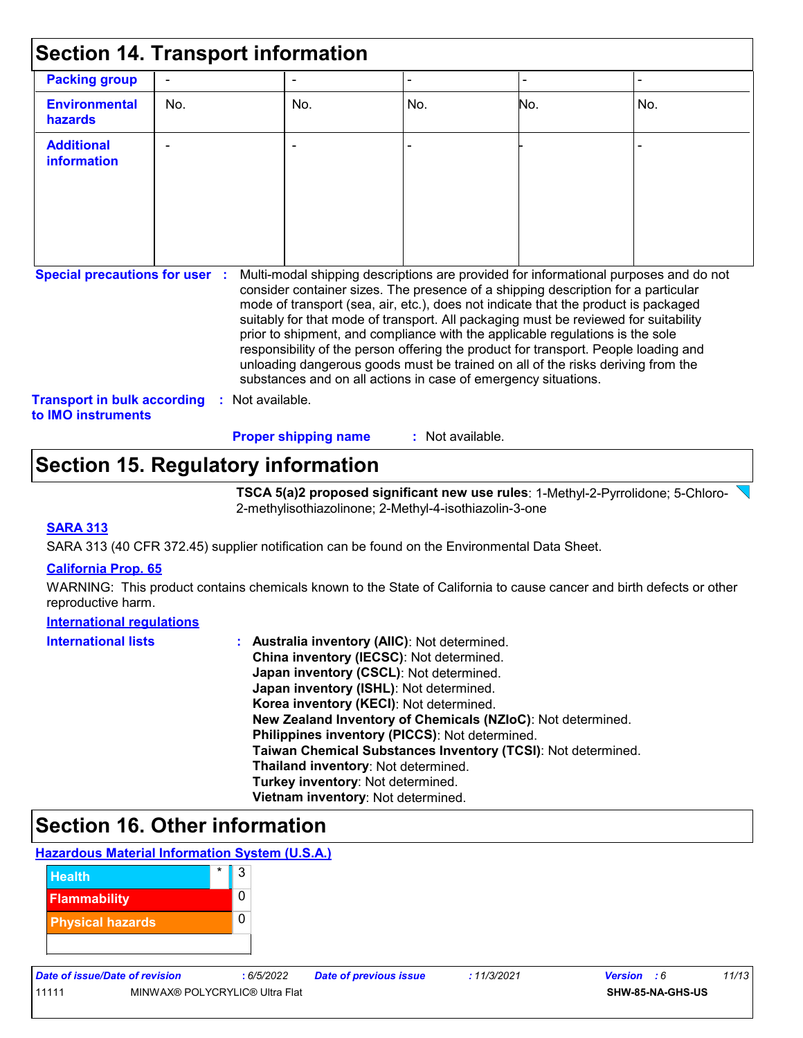| <b>Section 14. Transport information</b>                        |                |                      |                                                                                                                                                                                                                                                                                                                                                                                                                                                                                                                                                                                                                                                                                     |                  |     |                |
|-----------------------------------------------------------------|----------------|----------------------|-------------------------------------------------------------------------------------------------------------------------------------------------------------------------------------------------------------------------------------------------------------------------------------------------------------------------------------------------------------------------------------------------------------------------------------------------------------------------------------------------------------------------------------------------------------------------------------------------------------------------------------------------------------------------------------|------------------|-----|----------------|
| <b>Packing group</b>                                            | $\blacksquare$ |                      |                                                                                                                                                                                                                                                                                                                                                                                                                                                                                                                                                                                                                                                                                     |                  |     | $\blacksquare$ |
| <b>Environmental</b><br>hazards                                 | No.            |                      | No.                                                                                                                                                                                                                                                                                                                                                                                                                                                                                                                                                                                                                                                                                 | No.              | No. | No.            |
| <b>Additional</b><br>information                                |                |                      |                                                                                                                                                                                                                                                                                                                                                                                                                                                                                                                                                                                                                                                                                     |                  |     |                |
| <b>Special precautions for user :</b>                           |                | Not available.<br>÷. | Multi-modal shipping descriptions are provided for informational purposes and do not<br>consider container sizes. The presence of a shipping description for a particular<br>mode of transport (sea, air, etc.), does not indicate that the product is packaged<br>suitably for that mode of transport. All packaging must be reviewed for suitability<br>prior to shipment, and compliance with the applicable regulations is the sole<br>responsibility of the person offering the product for transport. People loading and<br>unloading dangerous goods must be trained on all of the risks deriving from the<br>substances and on all actions in case of emergency situations. |                  |     |                |
| <b>Transport in bulk according</b><br>to <b>IMO</b> instruments |                |                      |                                                                                                                                                                                                                                                                                                                                                                                                                                                                                                                                                                                                                                                                                     |                  |     |                |
|                                                                 |                |                      | <b>Proper shipping name</b>                                                                                                                                                                                                                                                                                                                                                                                                                                                                                                                                                                                                                                                         | : Not available. |     |                |

### **Section 15. Regulatory information**

**TSCA 5(a)2 proposed significant new use rules**: 1-Methyl-2-Pyrrolidone; 5-Chloro-2-methylisothiazolinone; 2-Methyl-4-isothiazolin-3-one

#### **SARA 313**

SARA 313 (40 CFR 372.45) supplier notification can be found on the Environmental Data Sheet.

#### **California Prop. 65**

WARNING: This product contains chemicals known to the State of California to cause cancer and birth defects or other reproductive harm.

#### **International regulations**

| <b>International lists</b> | Australia inventory (AllC): Not determined.                  |
|----------------------------|--------------------------------------------------------------|
|                            | China inventory (IECSC): Not determined.                     |
|                            | Japan inventory (CSCL): Not determined.                      |
|                            | Japan inventory (ISHL): Not determined.                      |
|                            | Korea inventory (KECI): Not determined.                      |
|                            | New Zealand Inventory of Chemicals (NZIoC): Not determined.  |
|                            | Philippines inventory (PICCS): Not determined.               |
|                            | Taiwan Chemical Substances Inventory (TCSI): Not determined. |
|                            | Thailand inventory: Not determined.                          |
|                            | Turkey inventory: Not determined.                            |
|                            | Vietnam inventory: Not determined.                           |

### **Section 16. Other information**

#### **Hazardous Material Information System (U.S.A.)**



| Date of Issue/Date of revision |               |
|--------------------------------|---------------|
| 11111                          | <b>MINWAX</b> |